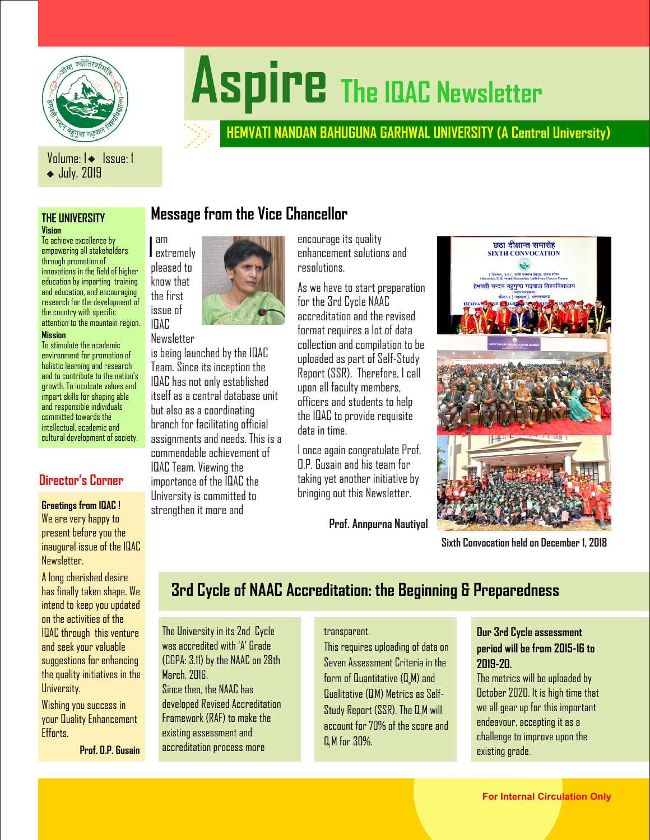

# Aspire The **IQAC** Newsletter

# **HEMVATI NANDAN BAHUGUNA GARHWAL UNIVERSITY (A Central University)**

## Volume: 1 | Issue: 1 ◆ July, 2019

# **Vision**

To achieve excellence by empowering all stakeholders through promotion of innovations in the field of higher education by imparting training and education, and encouraging research for the development of the country with specific attention to the mountain region. I

am

issue of IQAC

### **Mission**

To stimulate the academic environment for promotion of holistic learning and research and to contribute to the nation's growth. To inculcate values and impart skills for shaping able and responsible individuals committed towards the intellectual, academic and cultural development of society.

## **Director's Corner**

### **Greetings from IQAC !**

We are very happy to present before you the inaugural issue of the IQAC Newsletter.

A long cherished desire has finally taken shape. We intend to keep you updated on the activities of the IQAC through this venture and seek your valuable suggestions for enhancing the quality initiatives in the University.

Wishing you success in your Quality Enhancement Efforts.

**Prof. O.P. Gusain**

**THE UNIVERSITY Message from the Vice Chancellor**



Newsletter is being launched by the IQAC Team. Since its inception the IQAC has not only established itself as a central database unit but also as a coordinating branch for facilitating official assignments and needs. This is a commendable achievement of IQAC Team. Viewing the importance of the IQAC the University is committed to strengthen it more and

encourage its quality enhancement solutions and resolutions.

As we have to start preparation for the 3rd Cycle NAAC accreditation and the revised format requires a lot of data collection and compilation to be uploaded as part of Self-Study Report (SSR). Therefore, I call upon all faculty members, officers and students to help the IQAC to provide requisite data in time.

I once again congratulate Prof. O.P. Gusain and his team for taking yet another initiative by bringing out this Newsletter.

**Prof. Annpurna Nautiyal**



**Sixth Convocation held on December 1, 2018**

# **3rd Cycle of NAAC Accreditation: the Beginning & Preparedness**

The University in its 2nd Cycle was accredited with 'A' Grade (CGPA: 3.11) by the NAAC on 28th March, 2016

Since then, the NAAC has developed Revised Accreditation Framework (RAF) to make the existing assessment and accreditation process more

### transparent.

This requires uploading of data on Seven Assessment Criteria in the form of Quantitative (Q.M) and Qualitative (QM) Metrics as Self- <sup>l</sup> Study Report ( $SSR$ ). The  $Q_nM$  will account for 70% of the score and Q M for 30%.

### **Our 3rd Cycle assessment period will be from 2015-16 to 2019-20.**

The metrics will be uploaded by October 2020. It is high time that we all gear up for this important endeavour, accepting it as a challenge to improve upon the existing grade.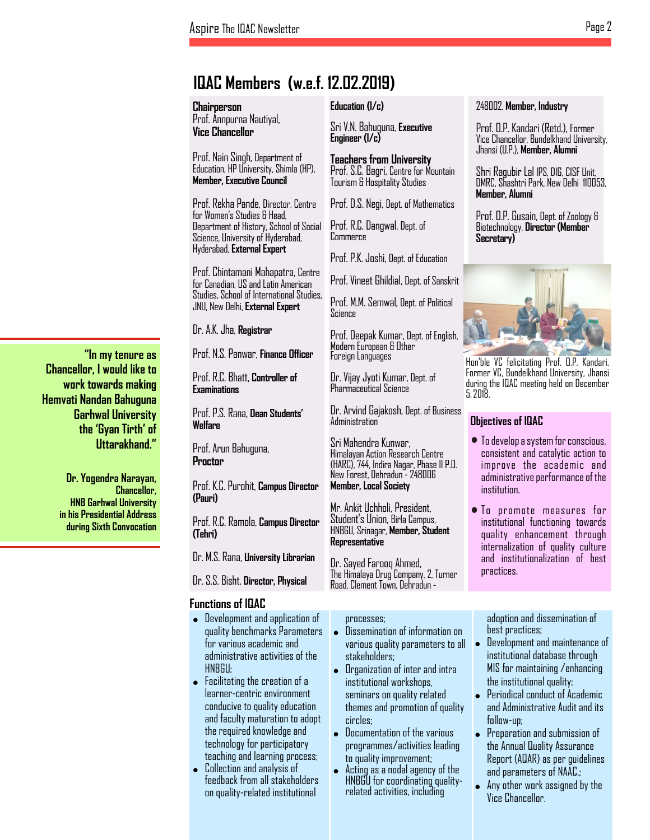# **IQAC Members (w.e.f. 12.02.2019)**

**Chairperson** Prof. Annpurna Nautiyal, **Vice Chancellor**

Prof. Nain Singh, Department of Education, HP University, Shimla (HP), **Member, Executive Council**

Prof. Rekha Pande, Director, Centre for Women's Studies & Head, Department of History, School of Social Science, University of Hyderabad, Hyderabad, **External Expert**

Prof. Chintamani Mahapatra, Centre for Canadian, US and Latin American Studies, School of International Studies, JNU, New Delhi, **External Expert**

Dr. A.K. Jha, **Registrar**

Prof. N.S. Panwar, **Finance Officer**

Prof. R.C. Bhatt, **Controller of Examinations**

Prof. P.S. Rana, **Dean Students' Welfare**

Prof. Arun Bahuguna, **Proctor**

Prof. K.C. Purohit, **Campus Director (Pauri)**

Prof. R.C. Ramola, **Campus Director (Tehri)**

Dr. M.S. Rana, **University Librarian**

Dr. S.S. Bisht, **Director, Physical** 

### **Functions of IQAC**

! Development and application of quality benchmarks Parameters for various academic and administrative activities of the

 Facilitating the creation of a learner-centric environment conducive to quality education and faculty maturation to adopt the required knowledge and technology for participatory

 Collection and analysis of feedback from all stakeholders on quality-related institutional

**Education (I/c)**

Sri V.N. Bahuguna, **Executive Engineer (I/c)**

**Teachers from University** Prof. S.C. Bagri, Centre for Mountain Tourism & Hospitality Studies

Prof. D.S. Negi, Dept. of Mathematics

Prof. R.C. Dangwal, Dept. of Commerce

Prof. P.K. Joshi, Dept. of Education

Prof. Vineet Ghildial, Dept. of Sanskrit

Prof. M.M. Semwal, Dept. of Political Science

Prof. Deepak Kumar, Dept. of English, Modern European & Other Foreign Languages

Dr. Vijay Jyoti Kumar, Dept. of Pharmaceutical Science

Dr. Arvind Gajakosh, Dept. of Business Administration

Sri Mahendra Kunwar, Himalayan Action Research Centre (HARC), 744, Indira Nagar, Phase II P.O. New Forest, Dehradun - 248006 **Member, Local Society**

Mr. Ankit Uchholi, President, Student's Union, Birla Campus, HNBGU, Srinagar, **Member, Student Representative**

Dr. Sayed Farooq Ahmed, The Himalaya Drug Company, 2, Turner Road, Clement Town, Dehradun -

- Dissemination of information on various quality parameters to all
- Organization of inter and intra institutional workshops, seminars on quality related themes and promotion of quality
- Documentation of the various programmes/activities leading
- Acting as a nodal agency of the HNBGU for coordinating qualityrelated activities, including

### 248002, **Member, Industry**

Prof. O.P. Kandari (Retd.), Former Vice Chancellor, Bundelkhand University, Jhansi (U.P.), **Member, Alumni**

Shri Ragubir Lal IPS, DIG, CISF Unit, DMRC, Shashtri Park, New Delhi 110053, **Member, Alumni**

Prof. O.P. Gusain, Dept. of Zoology & Biotechnology, **Director (Member Secretary)**



Hon'ble VC felicitating Prof. O.P. Kandari, Former VC, Bundelkhand University, Jhansi during the IQAC meeting held on December 5, 2018.

### **Objectives of IQAC**

- To develop a system for conscious, consistent and catalytic action to improve the academic and administrative performance of the institution.
- To promote measures for institutional functioning towards quality enhancement through internalization of quality culture and institutionalization of best practices.

processes; adoption and dissemination of<br>● Dissemination of information on best practices; adoption and dissemination of best practices;<br>• Develooment and maintenance of

- !HNBGU; stakeholders; institutional database through<br>● Organization of inter and intra MIS for maintaining /enhancing Development and maintenance of institutional database through MIS for maintaining /enhancing the institutional quality;<br>• Periodical conduct of Academic
	- circles; follow-up;<br>● Documentation of the various ● Prenaration and submission of Periodical conduct of Academic and Administrative Audit and its follow-up;<br>• Preoaration and submission of
- teaching and learning process; the quality improvement; (Report (AQAR) as per guidelines<br>Collection and analysis of the Action as a nodal agency of the the card parameters of NAAC. to quality improvement; Report (AQAR) as per guidelines<br>● Acting as a nodal agency of the and parameters of NAAC · • Preparation and submission of the Annual Quality Assurance Report (AQAR) as per guidelines and parameters of NAAC.;<br>• Anv other work assioned by the
	- Any other work assigned by the Vice Chancellor.

**"In my tenure as Chancellor, I would like to work towards making Hemvati Nandan Bahuguna Garhwal University the 'Gyan Tirth' of Uttarakhand."**

> **Dr. Yogendra Narayan, Chancellor, HNB Garhwal University in his Presidential Address during Sixth Convocation**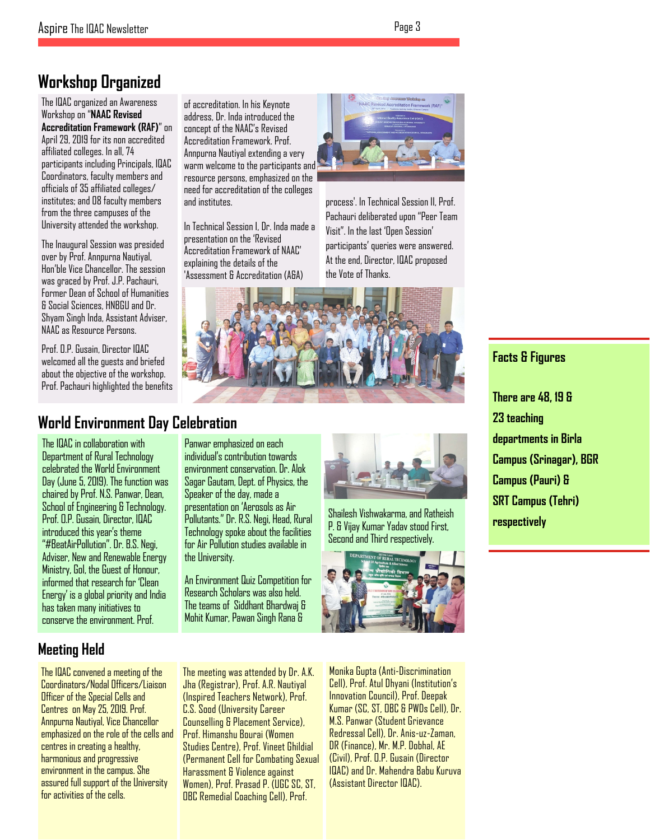# **Workshop Organized**

The IQAC organized an Awareness Workshop on "**NAAC Revised Accreditation Framework (RAF)**" on April 29, 2019 for its non accredited affiliated colleges. In all, 74 participants including Principals, IQAC Coordinators, faculty members and officials of 35 affiliated colleges/ institutes; and 08 faculty members from the three campuses of the University attended the workshop.

The Inaugural Session was presided over by Prof. Annpurna Nautiyal, Hon'ble Vice Chancellor. The session was graced by Prof. J.P. Pachauri, Former Dean of School of Humanities & Social Sciences, HNBGU and Dr. Shyam Singh Inda, Assistant Adviser, NAAC as Resource Persons.

Prof. O.P. Gusain, Director IQAC welcomed all the guests and briefed about the objective of the workshop. Prof. Pachauri highlighted the benefits

of accreditation. In his Keynote address, Dr. Inda introduced the concept of the NAAC's Revised Accreditation Framework. Prof. Annpurna Nautiyal extending a very warm welcome to the participants and resource persons, emphasized on the need for accreditation of the colleges and institutes.

In Technical Session I, Dr. Inda made a presentation on the 'Revised Accreditation Framework of NAAC' explaining the details of the 'Assessment & Accreditation (A&A)



process'. In Technical Session II, Prof. Pachauri deliberated upon "Peer Team Visit". In the last 'Open Session' participants' queries were answered. At the end, Director, IQAC proposed the Vote of Thanks.



# **World Environment Day Celebration**

The IQAC in collaboration with Department of Rural Technology celebrated the World Environment Day (June 5, 2019). The function was chaired by Prof. N.S. Panwar, Dean, School of Engineering & Technology. Prof. O.P. Gusain, Director, IQAC introduced this year's theme "#BeatAirPollution". Dr. B.S. Negi, Adviser, New and Renewable Energy Ministry, GoI, the Guest of Honour, informed that research for 'Clean Energy' is a global priority and India has taken many initiatives to conserve the environment. Prof.

Panwar emphasized on each individual's contribution towards environment conservation. Dr. Alok Sagar Gautam, Dept. of Physics, the Speaker of the day, made a presentation on 'Aerosols as Air Pollutants." Dr. R.S. Negi, Head, Rural Technology spoke about the facilities for Air Pollution studies available in the University.

An Environment Quiz Competition for Research Scholars was also held. The teams of Siddhant Bhardwaj & Mohit Kumar, Pawan Singh Rana &



Shailesh Vishwakarma, and Ratheish P. & Vijay Kumar Yadav stood First, Second and Third respectively.



# **Facts & Figures**

**There are 48, 19 & 23 teaching departments in Birla Campus (Srinagar), BGR Campus (Pauri) & SRT Campus (Tehri) respectively**

# **Meeting Held**

The IQAC convened a meeting of the Coordinators/Nodal Officers/Liaison Officer of the Special Cells and Centres on May 25, 2019. Prof. Annpurna Nautiyal, Vice Chancellor emphasized on the role of the cells and centres in creating a healthy, harmonious and progressive environment in the campus. She assured full support of the University for activities of the cells.

The meeting was attended by Dr. A.K. Jha (Registrar), Prof. A.R. Nautiyal (Inspired Teachers Network), Prof. C.S. Sood (University Career Counselling & Placement Service), Prof. Himanshu Bourai (Women Studies Centre), Prof. Vineet Ghildial (Permanent Cell for Combating Sexual Harassment & Violence against Women), Prof. Prasad P. (UGC SC, ST, OBC Remedial Coaching Cell), Prof.

Monika Gupta (Anti-Discrimination Cell), Prof. Atul Dhyani (Institution's Innovation Council), Prof. Deepak Kumar (SC, ST, OBC & PWDs Cell), Dr. M.S. Panwar (Student Grievance Redressal Cell), Dr. Anis-uz-Zaman, DR (Finance), Mr. M.P. Dobhal, AE (Civil), Prof. O.P. Gusain (Director IQAC) and Dr. Mahendra Babu Kuruva (Assistant Director IQAC).